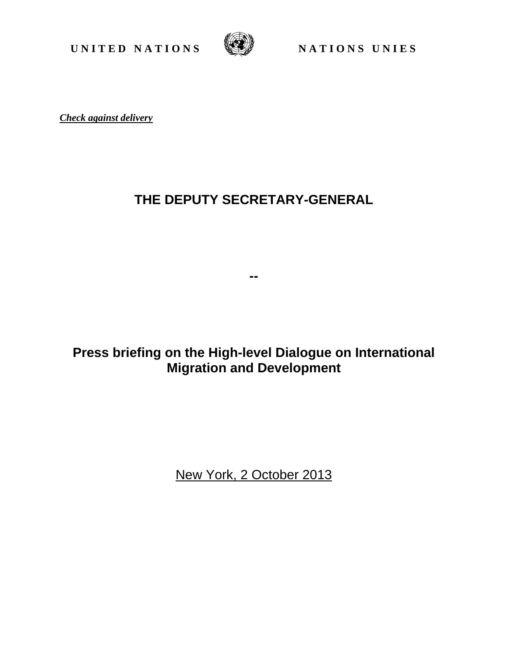**UNITED NATIONS** WE NATIONS UNIES



*Check against delivery*

## **THE DEPUTY SECRETARY-GENERAL**

**--** 

## **Press briefing on the High-level Dialogue on International Migration and Development**

New York, 2 October 2013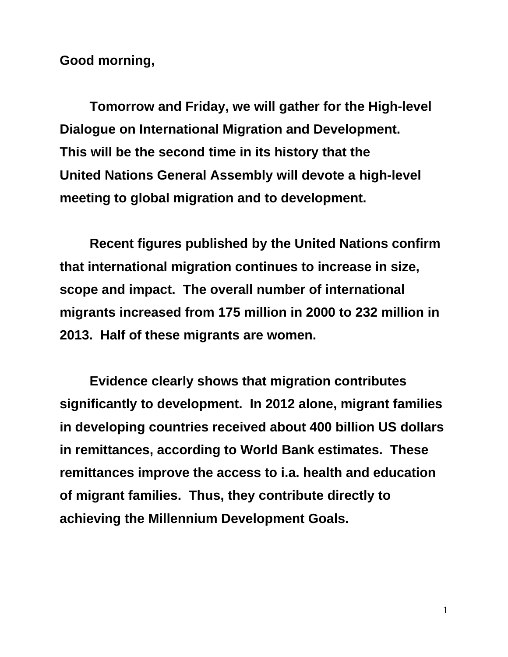**Good morning,** 

**Tomorrow and Friday, we will gather for the High-level Dialogue on International Migration and Development. This will be the second time in its history that the United Nations General Assembly will devote a high-level meeting to global migration and to development.** 

**Recent figures published by the United Nations confirm that international migration continues to increase in size, scope and impact. The overall number of international migrants increased from 175 million in 2000 to 232 million in 2013. Half of these migrants are women.** 

**Evidence clearly shows that migration contributes significantly to development. In 2012 alone, migrant families in developing countries received about 400 billion US dollars in remittances, according to World Bank estimates. These remittances improve the access to i.a. health and education of migrant families. Thus, they contribute directly to achieving the Millennium Development Goals.**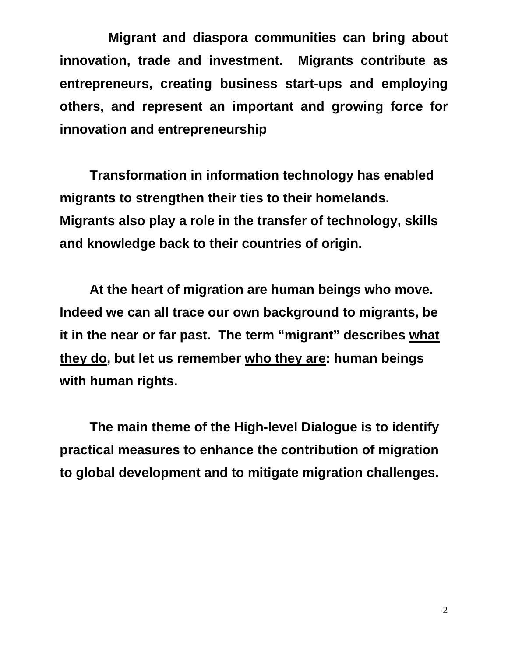**Migrant and diaspora communities can bring about innovation, trade and investment. Migrants contribute as entrepreneurs, creating business start-ups and employing others, and represent an important and growing force for innovation and entrepreneurship** 

**Transformation in information technology has enabled migrants to strengthen their ties to their homelands. Migrants also play a role in the transfer of technology, skills and knowledge back to their countries of origin.** 

**At the heart of migration are human beings who move. Indeed we can all trace our own background to migrants, be it in the near or far past. The term "migrant" describes what they do, but let us remember who they are: human beings with human rights.** 

**The main theme of the High-level Dialogue is to identify practical measures to enhance the contribution of migration to global development and to mitigate migration challenges.**